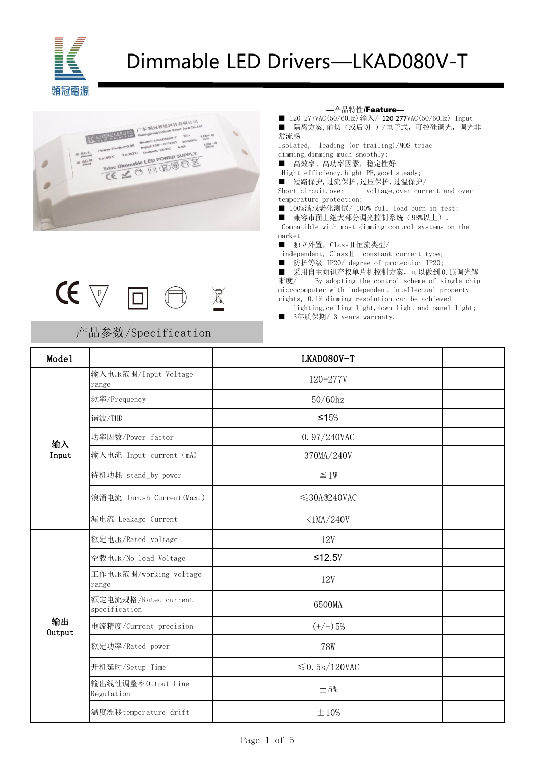

# Dimmable LED Drivers—LKAD080V-T





### 产品参数/Specification

—产品特性/Feature—

■ 120-277VAC (50/60Hz) 输入/ 120-277VAC (50/60Hz) Input ■ 隔离方案, 前切(或后切)/电子式, 可控硅调光, 调光非 常流畅

Isolated, leading (or trailing)/MOS triac dimming,dimming much smoothly;

■ 高效率、高功率因素,稳定性好

Hight efficiency, hight PF, good steady;

■ 短路保护,过流保护,过压保护,过温保护/

Short circuit, over voltage, over current and over temperature protection;

■ 100%满载老化测试/ 100% full load burn-in test;

■ 兼容市面上绝大部分调光控制系统(98%以上)。

Compatible with most dimming control systems on the market

■ 独立外置, Class II 恒流类型/

independent, ClassⅡ constant current type;

■ 防护等级 IP20/ degree of protection IP20;

■ 采用自主知识产权单片机控制方案,可以做到 0.1%调光解 晰度/ By adopting the control scheme of single chip microcomputer with independent intellectual property rights, 0.1% dimming resolution can be achieved

lighting, ceiling light, down light and panel light;

■ 3年质保期/ 3 years warranty.

| Mode1        |                                       | LKAD080V-T          |  |
|--------------|---------------------------------------|---------------------|--|
|              | 输入电压范围/Input Voltage<br>range         | $120 - 277V$        |  |
|              | 频率/Frequency                          | $50/60$ hz          |  |
|              | 谐波/THD                                | $≤15%$              |  |
| 输入           | 功率因数/Power factor                     | 0.97/240VAC         |  |
| Input        | 输入电流 Input current (mA)               | 370MA/240V          |  |
|              | 待机功耗 stand_by power                   | $\leq 1W$           |  |
|              | 浪涌电流 Inrush Current (Max.)            | $\leq$ 30A@240VAC   |  |
|              | 漏电流 Leakage Current                   | $\langle 1MA/240V$  |  |
|              | 额定电压/Rated voltage                    | 12V                 |  |
|              | 空载电压/No-load Voltage                  | $≤12.5V$            |  |
|              | 工作电压范围/working voltage<br>range       | 12V                 |  |
|              | 额定电流规格/Rated current<br>specification | 6500MA              |  |
| 输出<br>Output | 电流精度/Current precision                | $(+/-)5%$           |  |
|              | 额定功率/Rated power                      | <b>78W</b>          |  |
|              | 开机延时/Setup Time                       | $\leq 0.5$ s/120VAC |  |
|              | 输出线性调整率Output Line<br>Regulation      | $\pm$ 5%            |  |
|              | 温度漂移temperature drift                 | ±10%                |  |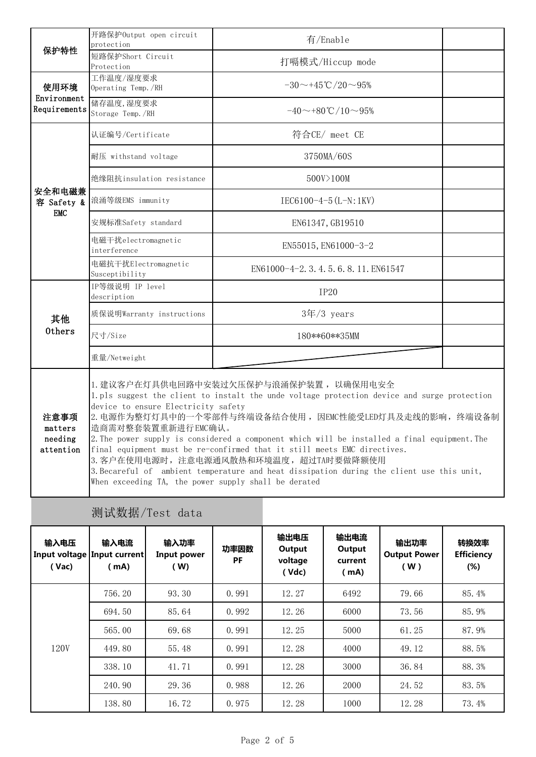|                                         | 开路保护Output open circuit<br>protection                                                                                                                                                                                                                                                                                                                                                                                                                                                                                                                                                                                                     | 有/Enable                          |  |  |  |  |  |
|-----------------------------------------|-------------------------------------------------------------------------------------------------------------------------------------------------------------------------------------------------------------------------------------------------------------------------------------------------------------------------------------------------------------------------------------------------------------------------------------------------------------------------------------------------------------------------------------------------------------------------------------------------------------------------------------------|-----------------------------------|--|--|--|--|--|
| 保护特性                                    | 短路保护Short Circuit<br>Protection                                                                                                                                                                                                                                                                                                                                                                                                                                                                                                                                                                                                           | 打嗝模式/Hiccup mode                  |  |  |  |  |  |
| 使用环境                                    | 工作温度/湿度要求<br>Operating Temp./RH                                                                                                                                                                                                                                                                                                                                                                                                                                                                                                                                                                                                           | $-30 \sim +45$ °C $/20 \sim 95\%$ |  |  |  |  |  |
| Environment<br>Requirements             | 储存温度,湿度要求<br>Storage Temp./RH                                                                                                                                                                                                                                                                                                                                                                                                                                                                                                                                                                                                             | $-40$ ~+80°C/10~95%               |  |  |  |  |  |
|                                         | 认证编号/Certificate                                                                                                                                                                                                                                                                                                                                                                                                                                                                                                                                                                                                                          | 符合CE/ meet CE                     |  |  |  |  |  |
|                                         | 耐压 withstand voltage                                                                                                                                                                                                                                                                                                                                                                                                                                                                                                                                                                                                                      | 3750MA/60S                        |  |  |  |  |  |
|                                         | 绝缘阻抗insulation resistance                                                                                                                                                                                                                                                                                                                                                                                                                                                                                                                                                                                                                 | 500V>100M                         |  |  |  |  |  |
| 安全和电磁兼<br>容 Safety &                    | 浪涌等级EMS immunity                                                                                                                                                                                                                                                                                                                                                                                                                                                                                                                                                                                                                          | $IEC6100-4-5(L-N:1KV)$            |  |  |  |  |  |
| <b>EMC</b>                              | 安规标准Safety standard                                                                                                                                                                                                                                                                                                                                                                                                                                                                                                                                                                                                                       | EN61347, GB19510                  |  |  |  |  |  |
|                                         | 电磁干扰electromagnetic<br>interference                                                                                                                                                                                                                                                                                                                                                                                                                                                                                                                                                                                                       | EN55015, EN61000-3-2              |  |  |  |  |  |
|                                         | 电磁抗干扰Electromagnetic<br>Susceptibility                                                                                                                                                                                                                                                                                                                                                                                                                                                                                                                                                                                                    | EN61000-4-2.3.4.5.6.8.11. EN61547 |  |  |  |  |  |
|                                         | IP等级说明 IP level<br>description                                                                                                                                                                                                                                                                                                                                                                                                                                                                                                                                                                                                            | <b>IP20</b>                       |  |  |  |  |  |
| 其他                                      | 质保说明Warranty instructions                                                                                                                                                                                                                                                                                                                                                                                                                                                                                                                                                                                                                 | $34/3$ years                      |  |  |  |  |  |
| 0thers                                  | 尺寸/Size                                                                                                                                                                                                                                                                                                                                                                                                                                                                                                                                                                                                                                   | 180**60**35MM                     |  |  |  |  |  |
|                                         | 重量/Netweight                                                                                                                                                                                                                                                                                                                                                                                                                                                                                                                                                                                                                              |                                   |  |  |  |  |  |
| 注意事项<br>matters<br>needing<br>attention | 1. 建议客户在灯具供电回路中安装过欠压保护与浪涌保护装置, 以确保用电安全<br>1. pls suggest the client to instalt the unde voltage protection device and surge protection<br>device to ensure Electricity safety<br>2. 电源作为整灯灯具中的一个零部件与终端设备结合使用, 因EMC性能受LED灯具及走线的影响, 终端设备制<br>造商需对整套装置重新进行EMC确认。<br>2. The power supply is considered a component which will be installed a final equipment. The<br>final equipment must be re-confirmed that it still meets EMC directives.<br>3. 客户在使用电源时, 注意电源通风散热和环境温度, 超过TA时要做降额使用<br>3. Becareful of ambient temperature and heat dissipation during the client use this unit,<br>When exceeding TA, the power supply shall be derated |                                   |  |  |  |  |  |

## 测试数据/Test data

| 输入电压<br>(Vac) | 输入电流<br>Input voltage Input current<br>(mA) | 输入功率<br>Input power<br>(W) | 功率因数<br><b>PF</b> | 输出电压<br>Output<br>voltage<br>(Vdc) | 输出电流<br>Output<br>current<br>( mA) | 输出功率<br><b>Output Power</b><br>(W) | 转换效率<br><b>Efficiency</b><br>$(\%)$ |
|---------------|---------------------------------------------|----------------------------|-------------------|------------------------------------|------------------------------------|------------------------------------|-------------------------------------|
| 120V          | 756.20                                      | 93.30                      | 0.991             | 12.27                              | 6492                               | 79.66                              | 85.4%                               |
|               | 694.50                                      | 85.64                      | 0.992             | 12.26                              | 6000                               | 73.56                              | 85.9%                               |
|               | 565.00                                      | 69.68                      | 0.991             | 12.25                              | 5000                               | 61.25                              | 87.9%                               |
|               | 449.80                                      | 55.48                      | 0.991             | 12.28                              | 4000                               | 49.12                              | 88.5%                               |
|               | 338.10                                      | 41.71                      | 0.991             | 12.28                              | 3000                               | 36.84                              | 88.3%                               |
|               | 240.90                                      | 29.36                      | 0.988             | 12.26                              | 2000                               | 24.52                              | 83.5%                               |
|               | 138.80                                      | 16.72                      | 0.975             | 12.28                              | 1000                               | 12.28                              | 73.4%                               |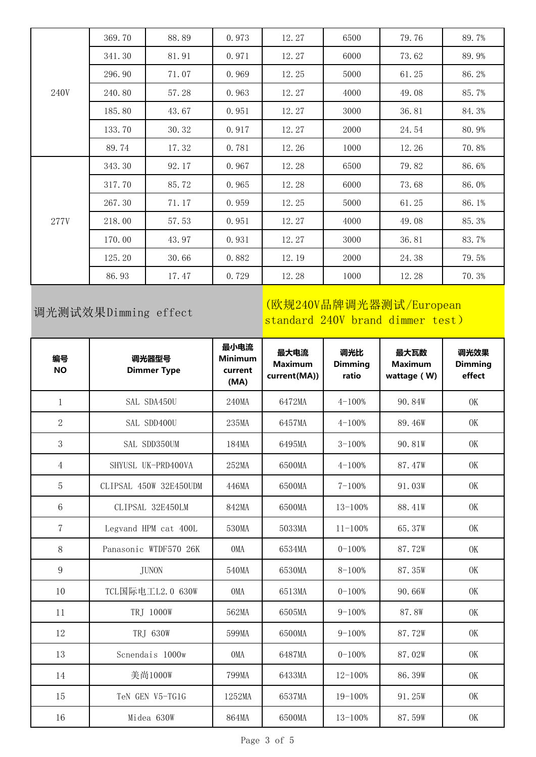|      | 369.70 | 88.89 | 0.973 | 12.27 | 6500 | 79.76 | 89.7% |
|------|--------|-------|-------|-------|------|-------|-------|
|      | 341.30 | 81.91 | 0.971 | 12.27 | 6000 | 73.62 | 89.9% |
|      | 296.90 | 71.07 | 0.969 | 12.25 | 5000 | 61.25 | 86.2% |
| 240V | 240.80 | 57.28 | 0.963 | 12.27 | 4000 | 49.08 | 85.7% |
|      | 185.80 | 43.67 | 0.951 | 12.27 | 3000 | 36.81 | 84.3% |
|      | 133.70 | 30.32 | 0.917 | 12.27 | 2000 | 24.54 | 80.9% |
|      | 89.74  | 17.32 | 0.781 | 12.26 | 1000 | 12.26 | 70.8% |
|      | 343.30 | 92.17 | 0.967 | 12.28 | 6500 | 79.82 | 86.6% |
|      | 317.70 | 85.72 | 0.965 | 12.28 | 6000 | 73.68 | 86.0% |
|      | 267.30 | 71.17 | 0.959 | 12.25 | 5000 | 61.25 | 86.1% |
| 277V | 218.00 | 57.53 | 0.951 | 12.27 | 4000 | 49.08 | 85.3% |
|      | 170.00 | 43.97 | 0.931 | 12.27 | 3000 | 36.81 | 83.7% |
|      | 125.20 | 30.66 | 0.882 | 12.19 | 2000 | 24.38 | 79.5% |
|      | 86.93  | 17.47 | 0.729 | 12.28 | 1000 | 12.28 | 70.3% |

## 调光测试效果Dimming effect

### (欧规240V品牌调光器测试/European standard 240V brand dimmer test)

| 编号<br><b>NO</b> | 调光器型号<br><b>Dimmer Type</b> | 最小电流<br><b>Minimum</b><br>current<br>(MA) | 最大电流<br><b>Maximum</b><br>current(MA)) | 调光比<br><b>Dimming</b><br>ratio | 最大瓦数<br><b>Maximum</b><br>wattage (W) | 调光效果<br><b>Dimming</b><br>effect |
|-----------------|-----------------------------|-------------------------------------------|----------------------------------------|--------------------------------|---------------------------------------|----------------------------------|
| $\mathbf{1}$    | SAL SDA450U                 | 240MA                                     | 6472MA                                 | $4 - 100%$                     | 90.84W                                | OK                               |
| $\overline{2}$  | SAL SDD400U                 | 235MA                                     | 6457MA                                 | $4 - 100%$                     | 89.46W                                | OK                               |
| 3               | SAL SDD350UM                | 184MA                                     | 6495MA                                 | $3 - 100%$                     | 90.81W                                | OK                               |
| $\overline{4}$  | SHYUSL UK-PRD400VA          | 252MA                                     | 6500MA                                 | $4 - 100%$                     | 87.47W                                | OK                               |
| 5               | CLIPSAL 450W 32E450UDM      | 446MA                                     | 6500MA                                 | $7 - 100%$                     | 91.03W                                | OK                               |
| 6               | CLIPSAL 32E450LM            | 842MA                                     | 6500MA                                 | $13 - 100%$                    | 88.41W                                | OK                               |
| $\overline{7}$  | Legvand HPM cat 400L        | 530MA                                     | 5033MA                                 | $11 - 100%$                    | 65.37W                                | OK                               |
| 8               | Panasonic WTDF570 26K       | <b>OMA</b>                                | 6534MA                                 | $0 - 100%$                     | 87.72W                                | <b>OK</b>                        |
| 9               | <b>JUNON</b>                | 540MA                                     | 6530MA                                 | $8 - 100%$                     | 87.35W                                | OK                               |
| 10              | TCL国际电工L2.0 630W            | <b>OMA</b>                                | 6513MA                                 | $0 - 100%$                     | 90.66W                                | OK                               |
| 11              | TRJ 1000W                   | 562MA                                     | 6505MA                                 | $9 - 100%$                     | 87.8W                                 | OK                               |
| 12              | TRJ 630W                    | 599MA                                     | 6500MA                                 | $9 - 100%$                     | 87.72W                                | <b>OK</b>                        |
| 13              | Scnendais 1000w             | <b>OMA</b>                                | 6487MA                                 | $0 - 100%$                     | 87.02W                                | OK                               |
| 14              | 美尚1000W                     | 799MA                                     | 6433MA                                 | $12 - 100%$                    | 86.39W                                | OK                               |
| 15              | TeN GEN V5-TG1G             | 1252MA                                    | 6537MA                                 | $19 - 100%$                    | 91.25W                                | OK                               |
| 16              | Midea 630W                  | 864MA                                     | 6500MA                                 | $13 - 100%$                    | 87.59W                                | <b>OK</b>                        |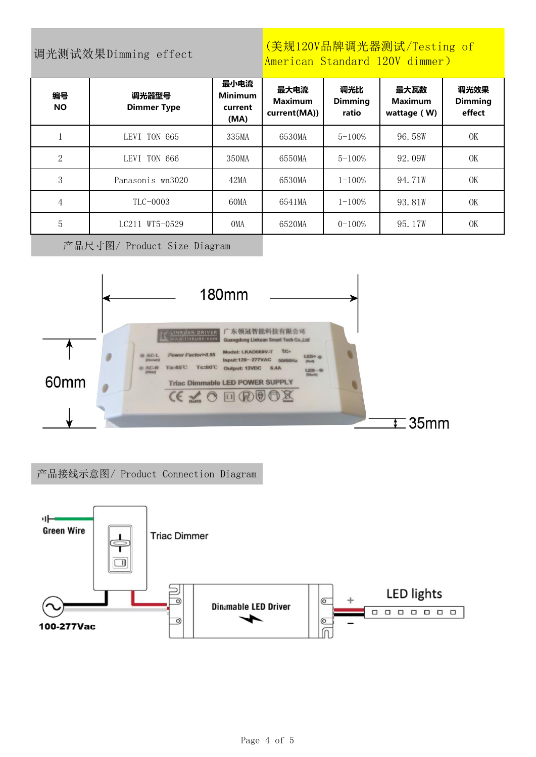### 调光测试效果Dimming effect

### (美规120V品牌调光器测试/Testing of American Standard 120V dimmer)

| 编号<br><b>NO</b> | 调光器型号<br><b>Dimmer Type</b> | 最小电流<br><b>Minimum</b><br>current<br>(MA) | 最大电流<br><b>Maximum</b><br>current(MA)) | 调光比<br><b>Dimming</b><br>ratio | 最大瓦数<br><b>Maximum</b><br>wattage (W) | 调光效果<br><b>Dimming</b><br>effect |
|-----------------|-----------------------------|-------------------------------------------|----------------------------------------|--------------------------------|---------------------------------------|----------------------------------|
|                 | LEVI TON 665                | 335MA                                     | 6530MA                                 | $5 - 100%$                     | 96.58W                                | OK                               |
| 2               | LEVI TON 666                | 350MA                                     | 6550MA                                 | $5 - 100%$                     | 92.09W                                | OK                               |
| 3               | Panasonis wn3020            | 42MA                                      | 6530MA                                 | $1 - 100\%$                    | 94.71W                                | OK                               |
| 4               | TLC-0003                    | 60MA                                      | 6541MA                                 | $1 - 100\%$                    | 93.81W                                | OK                               |
| 5               | LC211 WT5-0529              | <b>OMA</b>                                | 6520MA                                 | $0 - 100%$                     | 95.17W                                | OK                               |

产品尺寸图/ Product Size Diagram



产品接线示意图/ Product Connection Diagram